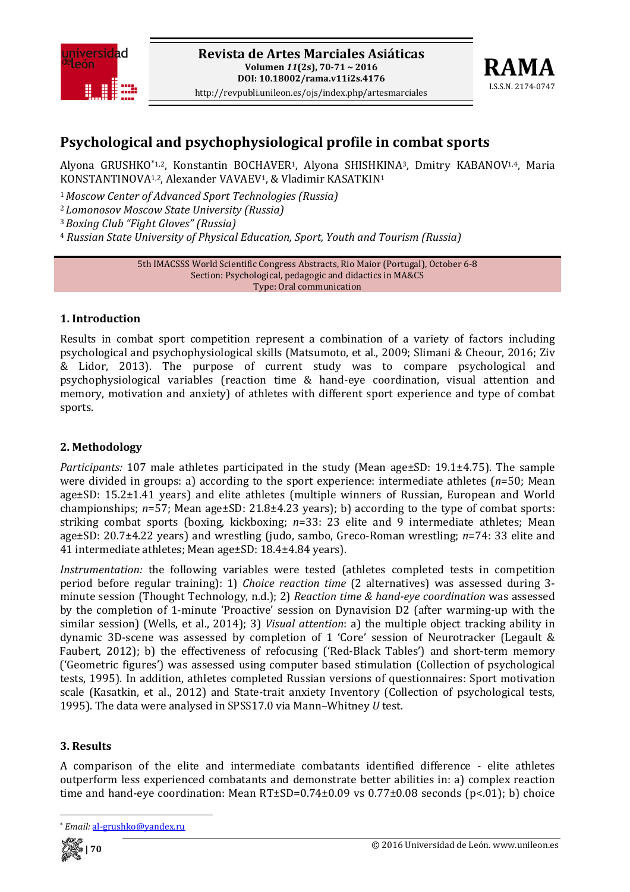



# **Psychological and psychophysiological profile in combat sports**

Alyona GRUSHKO\*1,2, Konstantin BOCHAVER<sup>1</sup>, Alyona SHISHKINA<sup>3</sup>, Dmitry KABANOV<sup>1,4</sup>, Maria KONSTANTINOVA<sup>1,2</sup>, Alexander VAVAEV<sup>1</sup>, & Vladimir KASATKIN<sup>1</sup>

<sup>1</sup>*Moscow Center of Advanced Sport Technologies (Russia)*

<sup>2</sup>*Lomonosov Moscow State University (Russia)*

<sup>3</sup>*Boxing Club "Fight Gloves" (Russia)*

<sup>4</sup> *Russian State University of Physical Education, Sport, Youth and Tourism (Russia)*

5th IMACSSS World Scientific Congress Abstracts, Rio Maior (Portugal), October 6‐8 Section: Psychological, pedagogic and didactics in MA&CS Type: Oral communication

### **1. Introduction**

Results in combat sport competition represent a combination of a variety of factors including psychological and psychophysiological skills (Matsumoto, et al., 2009; Slimani & Cheour, 2016; Ziv & Lidor, 2013). The purpose of current study was to compare psychological and psychophysiological variables (reaction time & hand‐eye coordination, visual attention and memory, motivation and anxiety) of athletes with different sport experience and type of combat sports.

## **2. Methodology**

*Participants:* 107 male athletes participated in the study (Mean age±SD: 19.1±4.75). The sample were divided in groups: a) according to the sport experience: intermediate athletes (*n*=50; Mean age±SD: 15.2±1.41 years) and elite athletes (multiple winners of Russian, European and World championships; *n*=57; Mean age±SD: 21.8±4.23 years); b) according to the type of combat sports: striking combat sports (boxing, kickboxing; *n*=33: 23 elite and 9 intermediate athletes; Mean age±SD: 20.7±4.22 years) and wrestling (judo, sambo, Greco‐Roman wrestling; *n*=74: 33 elite and 41 intermediate athletes; Mean age±SD: 18.4±4.84 years).

*Instrumentation:* the following variables were tested (athletes completed tests in competition period before regular training): 1) *Choice reaction time* (2 alternatives) was assessed during 3‐ minute session (Thought Technology, n.d.); 2) *Reaction time & handeye coordination* was assessed by the completion of 1‐minute 'Proactive' session on Dynavision D2 (after warming‐up with the similar session) (Wells, et al., 2014); 3) *Visual attention*: a) the multiple object tracking ability in dynamic 3D-scene was assessed by completion of 1 'Core' session of Neurotracker (Legault & Faubert, 2012); b) the effectiveness of refocusing ('Red-Black Tables') and short-term memory ('Geometric figures') was assessed using computer based stimulation (Collection of psychological tests, 1995). In addition, athletes completed Russian versions of questionnaires: Sport motivation scale (Kasatkin, et al., 2012) and State-trait anxiety Inventory (Collection of psychological tests, 1995). The data were analysed in SPSS17.0 via Mann–Whitney *U* test.

## **3. Results**

A comparison of the elite and intermediate combatants identified difference ‐ elite athletes outperform less experienced combatants and demonstrate better abilities in: a) complex reaction time and hand-eye coordination: Mean  $RT\pm SD=0.74\pm0.09$  vs  $0.77\pm0.08$  seconds (p<.01); b) choice



<sup>\*</sup> *Email:* al‐grushko@yandex.ru